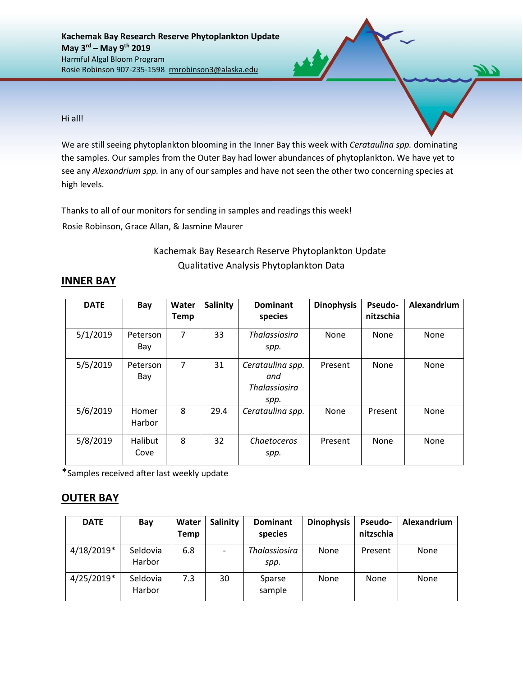Hi all!

We are still seeing phytoplankton blooming in the Inner Bay this week with *Cerataulina spp.* dominating the samples. Our samples from the Outer Bay had lower abundances of phytoplankton. We have yet to see any *Alexandrium spp.* in any of our samples and have not seen the other two concerning species at high levels.

Thanks to all of our monitors for sending in samples and readings this week!

Rosie Robinson, Grace Allan, & Jasmine Maurer

## Kachemak Bay Research Reserve Phytoplankton Update Qualitative Analysis Phytoplankton Data

| <b>DATE</b> | Bay                    | Water<br><b>Temp</b> | <b>Salinity</b> | <b>Dominant</b><br>species                              | <b>Dinophysis</b> | <b>Pseudo-</b><br>nitzschia | Alexandrium |
|-------------|------------------------|----------------------|-----------------|---------------------------------------------------------|-------------------|-----------------------------|-------------|
| 5/1/2019    | Peterson<br>Bay        | 7                    | 33              | <b>Thalassiosira</b><br>spp.                            | None              | <b>None</b>                 | None        |
| 5/5/2019    | Peterson<br>Bay        | 7                    | 31              | Cerataulina spp.<br>and<br><b>Thalassiosira</b><br>spp. | Present           | <b>None</b>                 | None        |
| 5/6/2019    | Homer<br>Harbor        | 8                    | 29.4            | Cerataulina spp.                                        | None              | Present                     | None        |
| 5/8/2019    | <b>Halibut</b><br>Cove | 8                    | 32              | Chaetoceros<br>spp.                                     | Present           | <b>None</b>                 | None        |

## **INNER BAY**

\*Samples received after last weekly update

## **OUTER BAY**

| <b>DATE</b>  | Bay                | Water<br><b>Temp</b> | Salinity                 | <b>Dominant</b><br>species | <b>Dinophysis</b> | <b>Pseudo-</b><br>nitzschia | Alexandrium |
|--------------|--------------------|----------------------|--------------------------|----------------------------|-------------------|-----------------------------|-------------|
| $4/18/2019*$ | Seldovia<br>Harbor | 6.8                  | $\overline{\phantom{a}}$ | Thalassiosira<br>spp.      | None              | Present                     | None        |
| 4/25/2019*   | Seldovia<br>Harbor | 7.3                  | 30                       | Sparse<br>sample           | None              | <b>None</b>                 | None        |